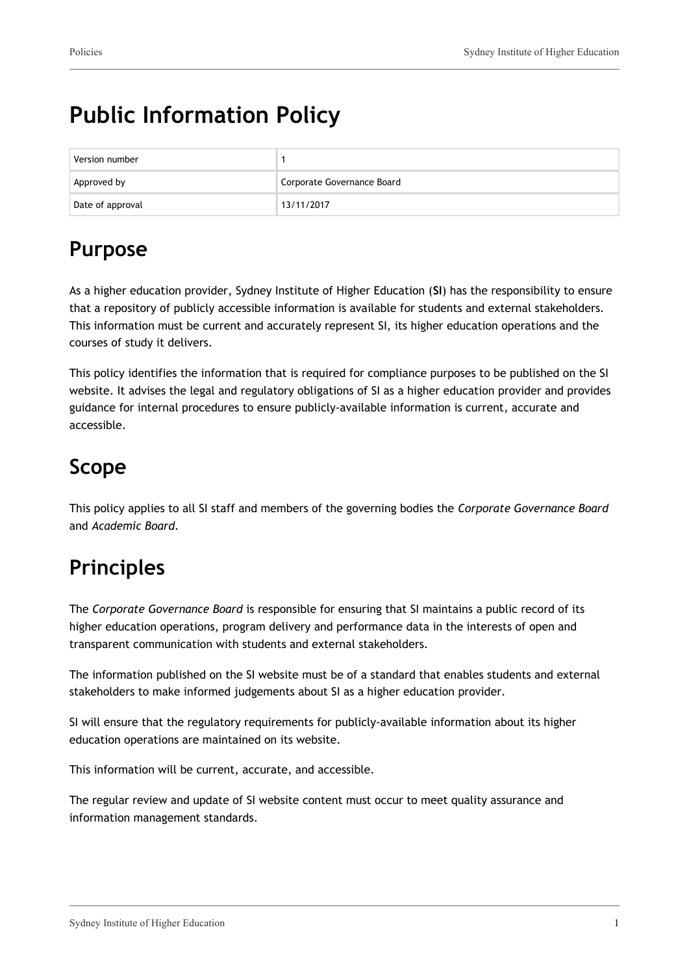# **Public Information Policy**

| Version number   |                            |
|------------------|----------------------------|
| Approved by      | Corporate Governance Board |
| Date of approval | 13/11/2017                 |

## **Purpose**

As a higher education provider, Sydney Institute of Higher Education (**SI**) has the responsibility to ensure that a repository of publicly accessible information is available for students and external stakeholders. This information must be current and accurately represent SI, its higher education operations and the courses of study it delivers.

This policy identifies the information that is required for compliance purposes to be published on the SI website. It advises the legal and regulatory obligations of SI as a higher education provider and provides guidance for internal procedures to ensure publicly-available information is current, accurate and accessible.

## **Scope**

This policy applies to all SI staff and members of the governing bodies the *Corporate Governance Board* and *Academic Board.*

## **Principles**

The *Corporate Governance Board* is responsible for ensuring that SI maintains a public record of its higher education operations, program delivery and performance data in the interests of open and transparent communication with students and external stakeholders.

The information published on the SI website must be of a standard that enables students and external stakeholders to make informed judgements about SI as a higher education provider.

SI will ensure that the regulatory requirements for publicly-available information about its higher education operations are maintained on its website.

This information will be current, accurate, and accessible.

The regular review and update of SI website content must occur to meet quality assurance and information management standards.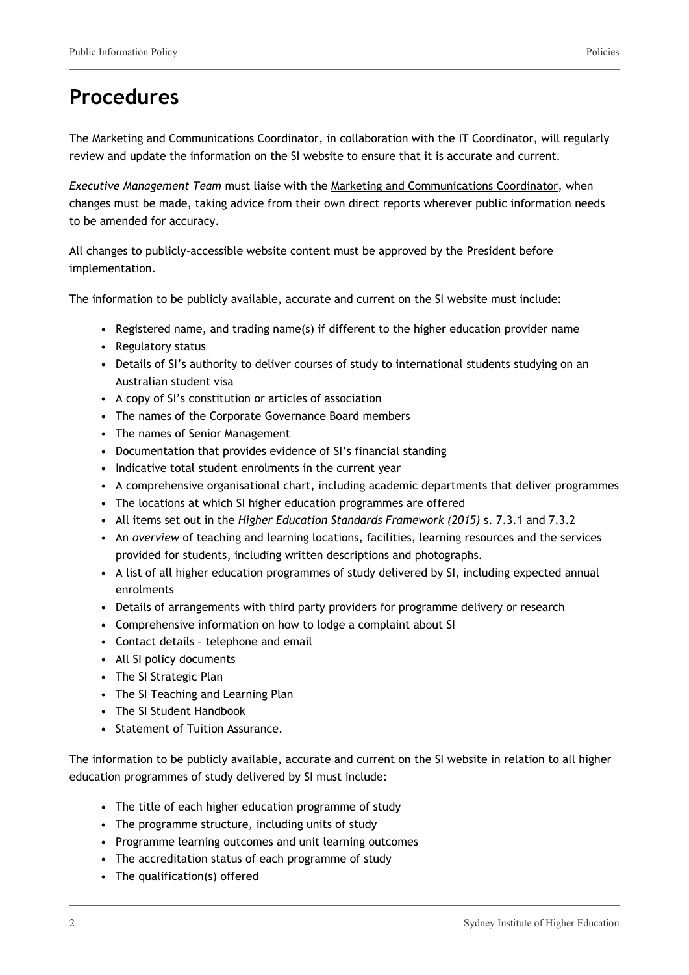#### **Procedures**

The Marketing and Communications Coordinator, in collaboration with the IT Coordinator, will regularly review and update the information on the SI website to ensure that it is accurate and current.

*Executive Management Team* must liaise with the Marketing and Communications Coordinator, when changes must be made, taking advice from their own direct reports wherever public information needs to be amended for accuracy.

All changes to publicly-accessible website content must be approved by the President before implementation.

The information to be publicly available, accurate and current on the SI website must include:

- Registered name, and trading name(s) if different to the higher education provider name
- Regulatory status
- Details of SI's authority to deliver courses of study to international students studying on an Australian student visa
- A copy of SI's constitution or articles of association
- The names of the Corporate Governance Board members
- The names of Senior Management
- Documentation that provides evidence of SI's financial standing
- Indicative total student enrolments in the current year
- A comprehensive organisational chart, including academic departments that deliver programmes
- The locations at which SI higher education programmes are offered
- All items set out in the *Higher Education Standards Framework (2015)* s. 7.3.1 and 7.3.2
- An *overview* of teaching and learning locations, facilities, learning resources and the services provided for students, including written descriptions and photographs.
- A list of all higher education programmes of study delivered by SI, including expected annual enrolments
- Details of arrangements with third party providers for programme delivery or research
- Comprehensive information on how to lodge a complaint about SI
- Contact details telephone and email
- All SI policy documents
- The SI Strategic Plan
- The SI Teaching and Learning Plan
- The SI Student Handbook
- Statement of Tuition Assurance.

The information to be publicly available, accurate and current on the SI website in relation to all higher education programmes of study delivered by SI must include:

- The title of each higher education programme of study
- The programme structure, including units of study
- Programme learning outcomes and unit learning outcomes
- The accreditation status of each programme of study
- The qualification(s) offered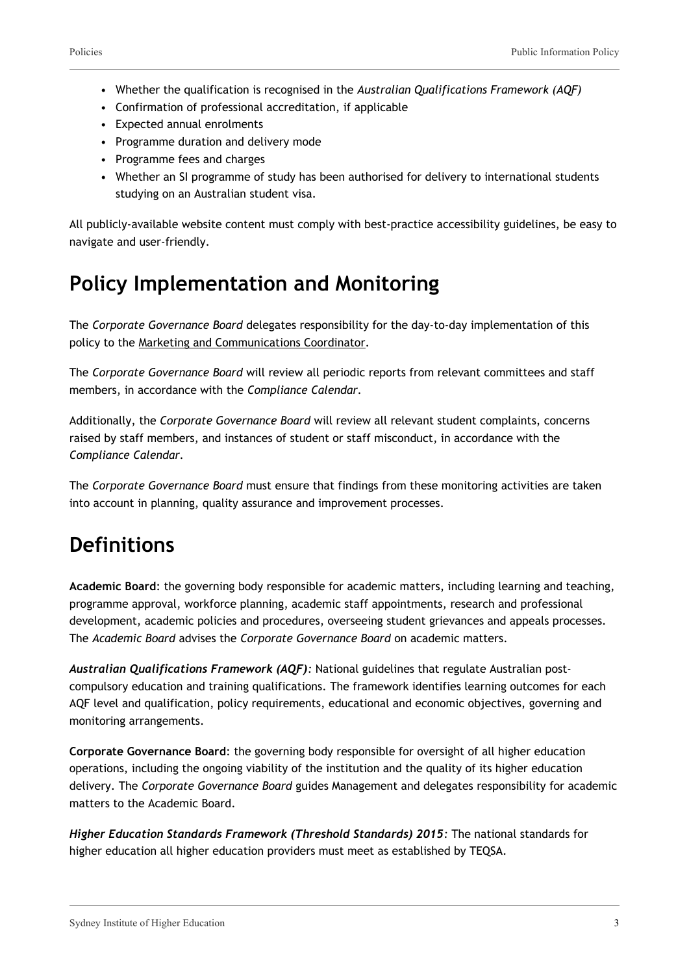- Whether the qualification is recognised in the *Australian Qualifications Framework (AQF)*
- Confirmation of professional accreditation, if applicable
- Expected annual enrolments
- Programme duration and delivery mode
- Programme fees and charges
- Whether an SI programme of study has been authorised for delivery to international students studying on an Australian student visa.

All publicly-available website content must comply with best-practice accessibility guidelines, be easy to navigate and user-friendly.

## **Policy Implementation and Monitoring**

The *Corporate Governance Board* delegates responsibility for the day-to-day implementation of this policy to the Marketing and Communications Coordinator.

The *Corporate Governance Board* will review all periodic reports from relevant committees and staff members, in accordance with the *Compliance Calendar.*

Additionally, the *Corporate Governance Board* will review all relevant student complaints, concerns raised by staff members, and instances of student or staff misconduct, in accordance with the *Compliance Calendar.*

The *Corporate Governance Board* must ensure that findings from these monitoring activities are taken into account in planning, quality assurance and improvement processes.

#### **Definitions**

**Academic Board**: the governing body responsible for academic matters, including learning and teaching, programme approval, workforce planning, academic staff appointments, research and professional development, academic policies and procedures, overseeing student grievances and appeals processes. The *Academic Board* advises the *Corporate Governance Board* on academic matters.

*Australian Qualifications Framework (AQF):* National guidelines that regulate Australian postcompulsory education and training qualifications. The framework identifies learning outcomes for each AQF level and qualification, policy requirements, educational and economic objectives, governing and monitoring arrangements.

**Corporate Governance Board**: the governing body responsible for oversight of all higher education operations, including the ongoing viability of the institution and the quality of its higher education delivery. The *Corporate Governance Board* guides Management and delegates responsibility for academic matters to the Academic Board.

*Higher Education Standards Framework (Threshold Standards) 2015:* The national standards for higher education all higher education providers must meet as established by TEQSA.